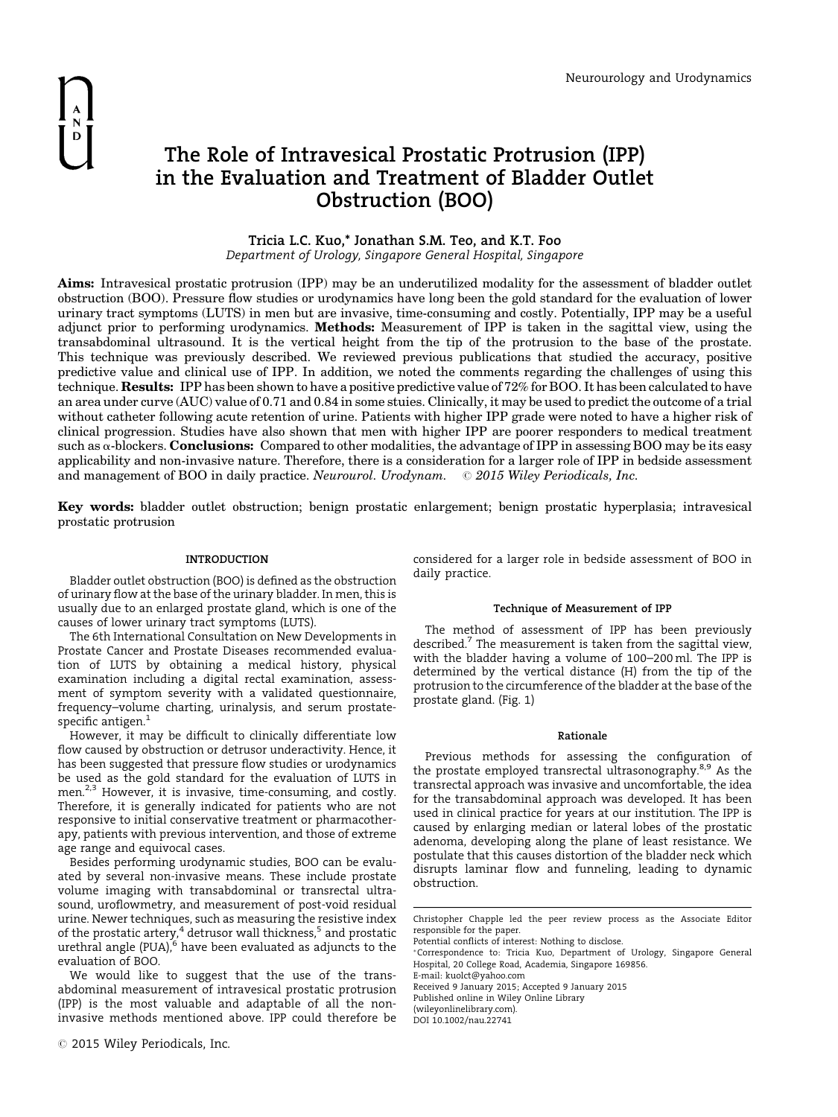

# The Role of Intravesical Prostatic Protrusion (IPP) in the Evaluation and Treatment of Bladder Outlet Obstruction (BOO)

Tricia L.C. Kuo,\* Jonathan S.M. Teo, and K.T. Foo Department of Urology, Singapore General Hospital, Singapore

Aims: Intravesical prostatic protrusion (IPP) may be an underutilized modality for the assessment of bladder outlet obstruction (BOO). Pressure flow studies or urodynamics have long been the gold standard for the evaluation of lower urinary tract symptoms (LUTS) in men but are invasive, time-consuming and costly. Potentially, IPP may be a useful adjunct prior to performing urodynamics. Methods: Measurement of IPP is taken in the sagittal view, using the transabdominal ultrasound. It is the vertical height from the tip of the protrusion to the base of the prostate. This technique was previously described. We reviewed previous publications that studied the accuracy, positive predictive value and clinical use of IPP. In addition, we noted the comments regarding the challenges of using this technique. Results: IPP has been shown to have a positive predictive value of 72% for BOO. It has been calculated to have an area under curve (AUC) value of 0.71 and 0.84 in some stuies. Clinically, it may be used to predict the outcome of a trial without catheter following acute retention of urine. Patients with higher IPP grade were noted to have a higher risk of clinical progression. Studies have also shown that men with higher IPP are poorer responders to medical treatment such as  $\alpha$ -blockers. **Conclusions:** Compared to other modalities, the advantage of IPP in assessing BOO may be its easy applicability and non-invasive nature. Therefore, there is a consideration for a larger role of IPP in bedside assessment and management of BOO in daily practice. Neurourol. Urodynam.  $\oslash$  2015 Wiley Periodicals, Inc.

Key words: bladder outlet obstruction; benign prostatic enlargement; benign prostatic hyperplasia; intravesical prostatic protrusion

## INTRODUCTION

Bladder outlet obstruction (BOO) is defined as the obstruction of urinary flow at the base of the urinary bladder. In men, this is usually due to an enlarged prostate gland, which is one of the causes of lower urinary tract symptoms (LUTS).

The 6th International Consultation on New Developments in Prostate Cancer and Prostate Diseases recommended evaluation of LUTS by obtaining a medical history, physical examination including a digital rectal examination, assessment of symptom severity with a validated questionnaire, frequency–volume charting, urinalysis, and serum prostatespecific antigen.<sup>1</sup>

However, it may be difficult to clinically differentiate low flow caused by obstruction or detrusor underactivity. Hence, it has been suggested that pressure flow studies or urodynamics be used as the gold standard for the evaluation of LUTS in men.<sup>2,3</sup> However, it is invasive, time-consuming, and costly. Therefore, it is generally indicated for patients who are not responsive to initial conservative treatment or pharmacotherapy, patients with previous intervention, and those of extreme age range and equivocal cases.

Besides performing urodynamic studies, BOO can be evaluated by several non-invasive means. These include prostate volume imaging with transabdominal or transrectal ultrasound, uroflowmetry, and measurement of post-void residual urine. Newer techniques, such as measuring the resistive index of the prostatic artery,<sup>4</sup> detrusor wall thickness,<sup>5</sup> and prostatic urethral angle (PUA), $^{\rm 6}$  have been evaluated as adjuncts to the evaluation of BOO.

We would like to suggest that the use of the transabdominal measurement of intravesical prostatic protrusion (IPP) is the most valuable and adaptable of all the noninvasive methods mentioned above. IPP could therefore be considered for a larger role in bedside assessment of BOO in daily practice.

## Technique of Measurement of IPP

The method of assessment of IPP has been previously described.<sup>7</sup> The measurement is taken from the sagittal view, with the bladder having a volume of 100–200 ml. The IPP is determined by the vertical distance (H) from the tip of the protrusion to the circumference of the bladder at the base of the prostate gland. (Fig. 1)

#### Rationale

Previous methods for assessing the configuration of the prostate employed transrectal ultrasonography.<sup>8,9</sup> As the transrectal approach was invasive and uncomfortable, the idea for the transabdominal approach was developed. It has been used in clinical practice for years at our institution. The IPP is caused by enlarging median or lateral lobes of the prostatic adenoma, developing along the plane of least resistance. We postulate that this causes distortion of the bladder neck which disrupts laminar flow and funneling, leading to dynamic obstruction.

E-mail: kuolct@yahoo.com Received 9 January 2015; Accepted 9 January 2015

Published online in Wiley Online Library

(wileyonlinelibrary.com).

DOI 10.1002/nau.22741

Christopher Chapple led the peer review process as the Associate Editor responsible for the paper.

Potential conflicts of interest: Nothing to disclose.

Correspondence to: Tricia Kuo, Department of Urology, Singapore General Hospital, 20 College Road, Academia, Singapore 169856.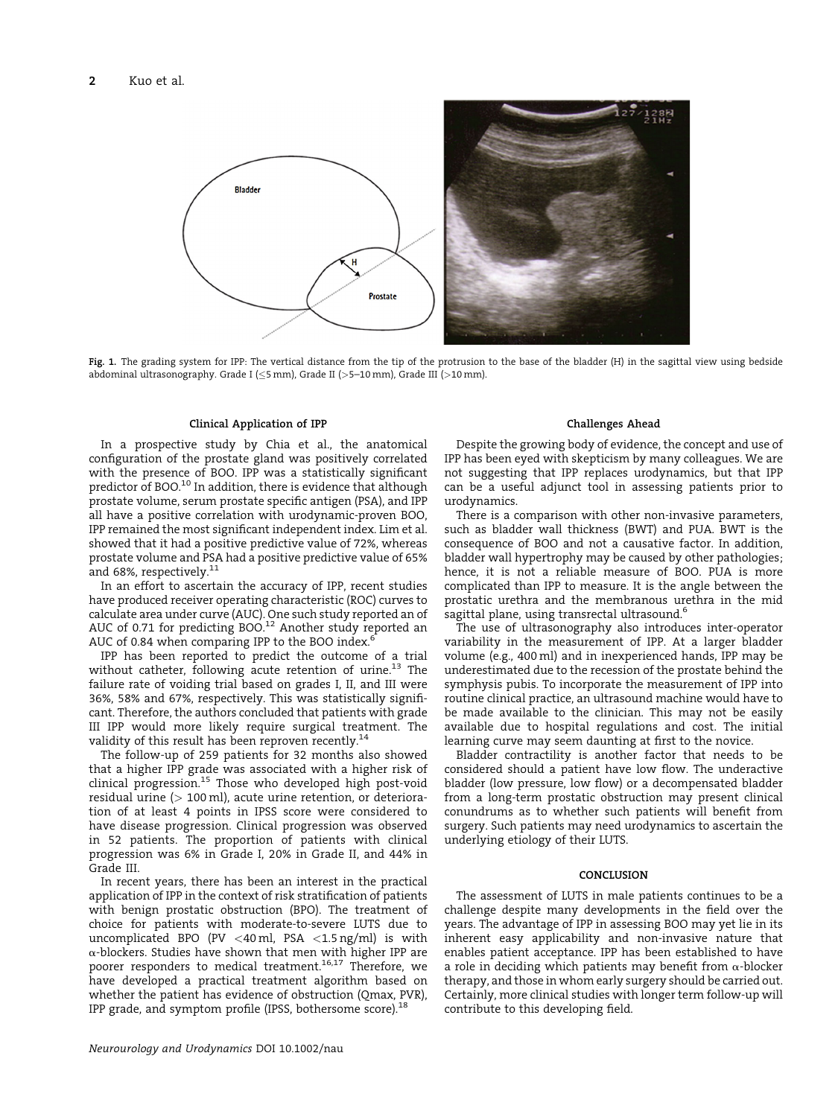

Fig. 1. The grading system for IPP: The vertical distance from the tip of the protrusion to the base of the bladder (H) in the sagittal view using bedside abdominal ultrasonography. Grade I (≤5 mm), Grade II (>5-10 mm), Grade III (>10 mm).

#### Clinical Application of IPP

In a prospective study by Chia et al., the anatomical configuration of the prostate gland was positively correlated with the presence of BOO. IPP was a statistically significant predictor of BOO.<sup>10</sup> In addition, there is evidence that although prostate volume, serum prostate specific antigen (PSA), and IPP all have a positive correlation with urodynamic-proven BOO, IPP remained the most significant independent index. Lim et al. showed that it had a positive predictive value of 72%, whereas prostate volume and PSA had a positive predictive value of 65% and 68%, respectively. $^{11}$ 

In an effort to ascertain the accuracy of IPP, recent studies have produced receiver operating characteristic (ROC) curves to calculate area under curve (AUC). One such study reported an of AUC of 0.71 for predicting BOO. $^{12}$  Another study reported an AUC of 0.84 when comparing IPP to the BOO index.<sup>6</sup>

IPP has been reported to predict the outcome of a trial without catheter, following acute retention of urine.<sup>13</sup> The failure rate of voiding trial based on grades I, II, and III were 36%, 58% and 67%, respectively. This was statistically significant. Therefore, the authors concluded that patients with grade III IPP would more likely require surgical treatment. The validity of this result has been reproven recently.<sup>14</sup>

The follow-up of 259 patients for 32 months also showed that a higher IPP grade was associated with a higher risk of clinical progression.<sup>15</sup> Those who developed high post-void residual urine (> 100 ml), acute urine retention, or deterioration of at least 4 points in IPSS score were considered to have disease progression. Clinical progression was observed in 52 patients. The proportion of patients with clinical progression was 6% in Grade I, 20% in Grade II, and 44% in Grade III.

In recent years, there has been an interest in the practical application of IPP in the context of risk stratification of patients with benign prostatic obstruction (BPO). The treatment of choice for patients with moderate-to-severe LUTS due to uncomplicated BPO (PV <40 ml, PSA <1.5 ng/ml) is with  $\alpha$ -blockers. Studies have shown that men with higher IPP are poorer responders to medical treatment.<sup>16,17</sup> Therefore, we have developed a practical treatment algorithm based on whether the patient has evidence of obstruction (Qmax, PVR), IPP grade, and symptom profile (IPSS, bothersome score).<sup>18</sup>

## Challenges Ahead

Despite the growing body of evidence, the concept and use of IPP has been eyed with skepticism by many colleagues. We are not suggesting that IPP replaces urodynamics, but that IPP can be a useful adjunct tool in assessing patients prior to urodynamics.

There is a comparison with other non-invasive parameters, such as bladder wall thickness (BWT) and PUA. BWT is the consequence of BOO and not a causative factor. In addition, bladder wall hypertrophy may be caused by other pathologies; hence, it is not a reliable measure of BOO. PUA is more complicated than IPP to measure. It is the angle between the prostatic urethra and the membranous urethra in the mid sagittal plane, using transrectal ultrasound.<sup>6</sup>

The use of ultrasonography also introduces inter-operator variability in the measurement of IPP. At a larger bladder volume (e.g., 400 ml) and in inexperienced hands, IPP may be underestimated due to the recession of the prostate behind the symphysis pubis. To incorporate the measurement of IPP into routine clinical practice, an ultrasound machine would have to be made available to the clinician. This may not be easily available due to hospital regulations and cost. The initial learning curve may seem daunting at first to the novice.

Bladder contractility is another factor that needs to be considered should a patient have low flow. The underactive bladder (low pressure, low flow) or a decompensated bladder from a long-term prostatic obstruction may present clinical conundrums as to whether such patients will benefit from surgery. Such patients may need urodynamics to ascertain the underlying etiology of their LUTS.

## CONCLUSION

The assessment of LUTS in male patients continues to be a challenge despite many developments in the field over the years. The advantage of IPP in assessing BOO may yet lie in its inherent easy applicability and non-invasive nature that enables patient acceptance. IPP has been established to have a role in deciding which patients may benefit from  $\alpha$ -blocker therapy, and those in whom early surgery should be carried out. Certainly, more clinical studies with longer term follow-up will contribute to this developing field.